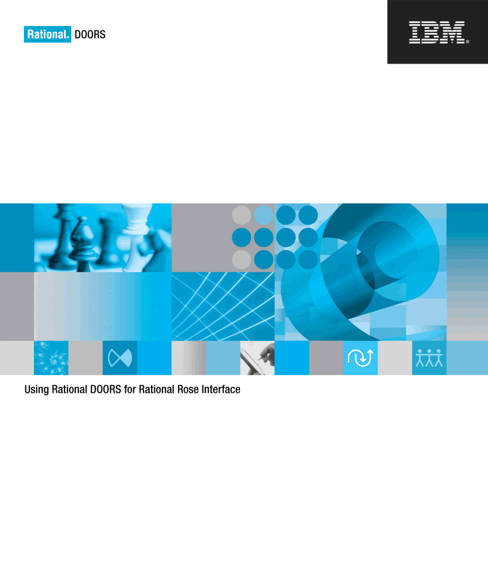





**Using Rational DOORS for Rational Rose Interface**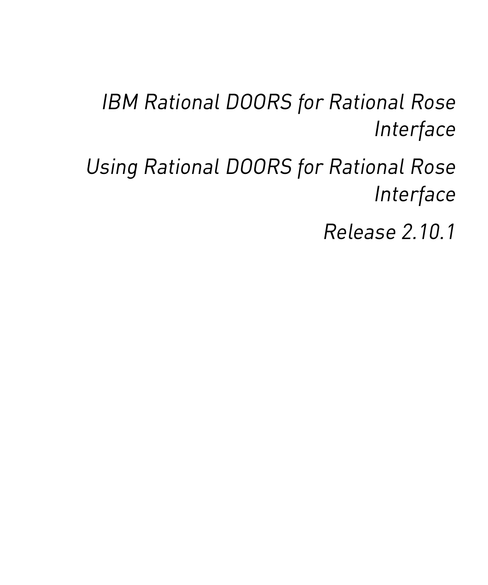*IBM Rational DOORS for Rational Rose Interface*

*Using Rational DOORS for Rational Rose Interface*

*Release 2.10.1*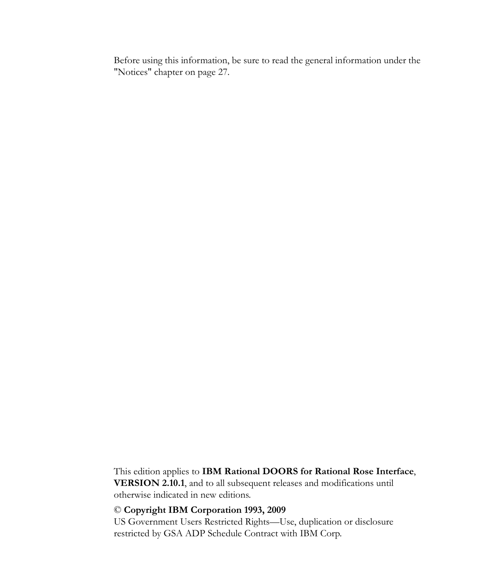Before using this information, be sure to read the general information under the ["Notices" chapter on page 27.](#page-32-0)

This edition applies to **IBM Rational DOORS for Rational Rose Interface**, **VERSION 2.10.1**, and to all subsequent releases and modifications until otherwise indicated in new editions.

#### © **Copyright IBM Corporation 1993, 2009**

US Government Users Restricted Rights—Use, duplication or disclosure restricted by GSA ADP Schedule Contract with IBM Corp.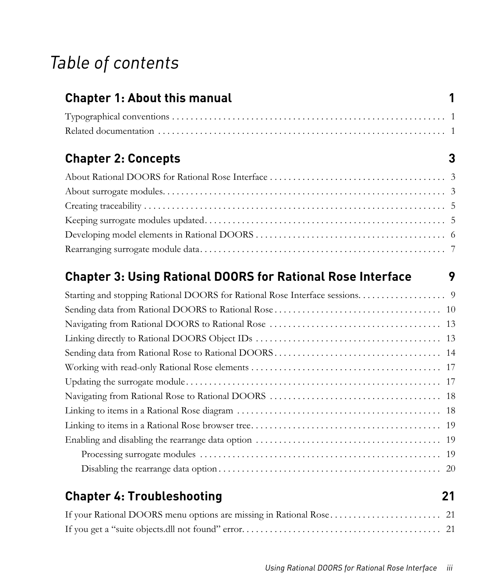# *Table of contents*

| <b>Chapter 1: About this manual</b>                                |   |
|--------------------------------------------------------------------|---|
|                                                                    |   |
|                                                                    |   |
| <b>Chapter 2: Concepts</b>                                         | 3 |
|                                                                    |   |
|                                                                    |   |
|                                                                    |   |
|                                                                    |   |
|                                                                    |   |
|                                                                    |   |
| <b>Chapter 3: Using Rational DOORS for Rational Rose Interface</b> | 9 |

# **[Chapter 4: Troubleshooting 21](#page-26-0)**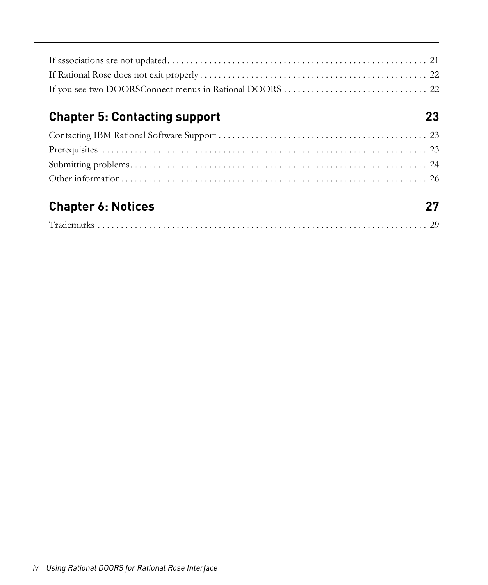| <b>Chapter 5: Contacting support</b> | 23 |
|--------------------------------------|----|
|                                      |    |
|                                      |    |
|                                      |    |
|                                      |    |
| <b>Chapter 6: Notices</b>            | 27 |
|                                      |    |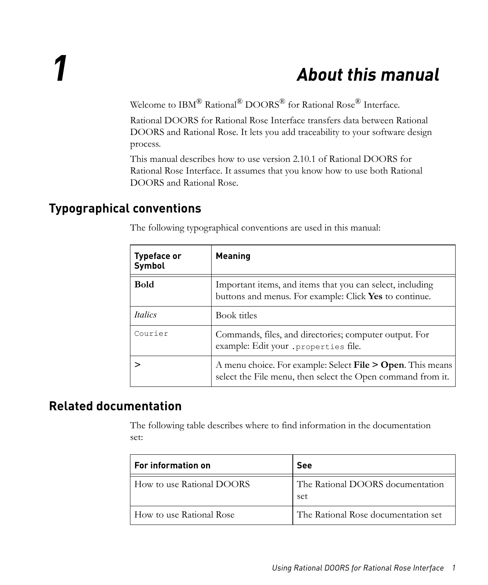# *1 About this manual*

<span id="page-6-0"></span>Welcome to IBM® Rational® DOORS® for Rational Rose® Interface.

Rational DOORS for Rational Rose Interface transfers data between Rational DOORS and Rational Rose. It lets you add traceability to your software design process.

This manual describes how to use version 2.10.1 of Rational DOORS for Rational Rose Interface. It assumes that you know how to use both Rational DOORS and Rational Rose.

#### <span id="page-6-1"></span>**Typographical conventions**

The following typographical conventions are used in this manual:

| <b>Typeface or</b><br>Symbol | <b>Meaning</b>                                                                                                            |
|------------------------------|---------------------------------------------------------------------------------------------------------------------------|
| <b>Bold</b>                  | Important items, and items that you can select, including<br>buttons and menus. For example: Click Yes to continue.       |
| <i>Italics</i>               | Book titles                                                                                                               |
| Courier                      | Commands, files, and directories; computer output. For<br>example: Edit your .properties file.                            |
|                              | A menu choice. For example: Select File > Open. This means<br>select the File menu, then select the Open command from it. |

#### <span id="page-6-2"></span>**Related documentation**

The following table describes where to find information in the documentation set:

| For information on        | See                                     |
|---------------------------|-----------------------------------------|
| How to use Rational DOORS | The Rational DOORS documentation<br>set |
| How to use Rational Rose  | The Rational Rose documentation set     |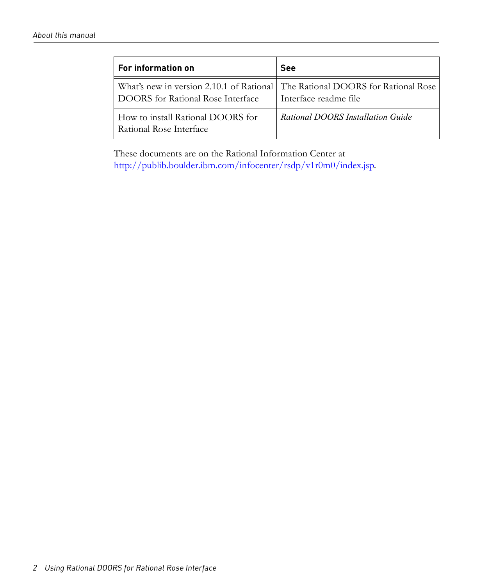| For information on                                           | <b>See</b>                                                                                               |
|--------------------------------------------------------------|----------------------------------------------------------------------------------------------------------|
| DOORS for Rational Rose Interface                            | What's new in version 2.10.1 of Rational   The Rational DOORS for Rational Rose<br>Interface readme file |
| How to install Rational DOORS for<br>Rational Rose Interface | <b>Rational DOORS Installation Guide</b>                                                                 |

These documents are on the Rational Information Center at http://publib.boulder.ibm.com/infocenter/rsdp/v1r0m0/index.jsp.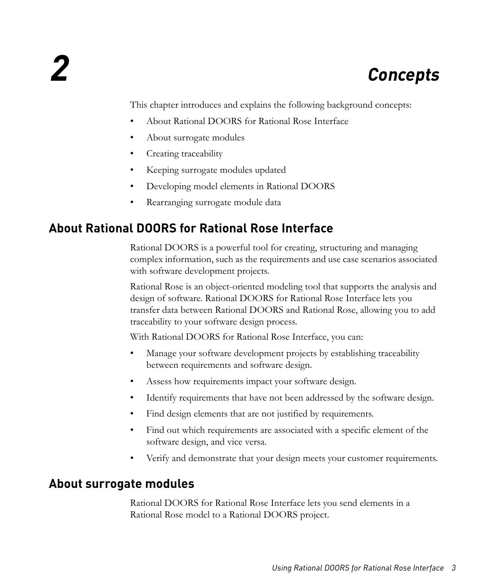# <span id="page-8-0"></span>*2 Concepts*

This chapter introduces and explains the following background concepts:

- [About Rational DOORS for Rational Rose Interface](#page-8-1)
- [About surrogate modules](#page-8-2)
- [Creating traceability](#page-10-0)
- [Keeping surrogate modules updated](#page-10-1)
- [Developing model elements in Rational DOORS](#page-11-0)
- [Rearranging surrogate module data](#page-12-0)

# <span id="page-8-3"></span><span id="page-8-1"></span>**About Rational DOORS for Rational Rose Interface**

Rational DOORS is a powerful tool for creating, structuring and managing complex information, such as the requirements and use case scenarios associated with software development projects.

Rational Rose is an object-oriented modeling tool that supports the analysis and design of software. Rational DOORS for Rational Rose Interface lets you transfer data between Rational DOORS and Rational Rose, allowing you to add traceability to your software design process.

With Rational DOORS for Rational Rose Interface, you can:

- Manage your software development projects by establishing traceability between requirements and software design.
- Assess how requirements impact your software design.
- Identify requirements that have not been addressed by the software design.
- Find design elements that are not justified by requirements.
- Find out which requirements are associated with a specific element of the software design, and vice versa.
- Verify and demonstrate that your design meets your customer requirements.

# <span id="page-8-4"></span><span id="page-8-2"></span>**About surrogate modules**

Rational DOORS for Rational Rose Interface lets you send elements in a Rational Rose model to a Rational DOORS project.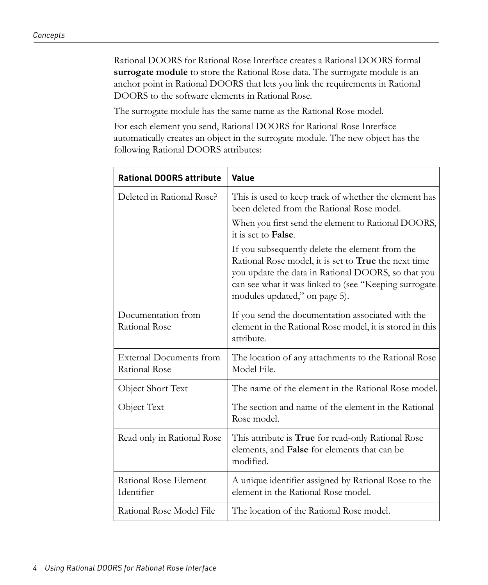Rational DOORS for Rational Rose Interface creates a Rational DOORS formal **surrogate module** to store the Rational Rose data. The surrogate module is an anchor point in Rational DOORS that lets you link the requirements in Rational DOORS to the software elements in Rational Rose.

The surrogate module has the same name as the Rational Rose model.

For each element you send, Rational DOORS for Rational Rose Interface automatically creates an object in the surrogate module. The new object has the following Rational DOORS attributes:

<span id="page-9-0"></span>

| <b>Rational DOORS attribute</b>                 | Value                                                                                                                                                                                                                                                          |
|-------------------------------------------------|----------------------------------------------------------------------------------------------------------------------------------------------------------------------------------------------------------------------------------------------------------------|
| Deleted in Rational Rose?                       | This is used to keep track of whether the element has<br>been deleted from the Rational Rose model.                                                                                                                                                            |
|                                                 | When you first send the element to Rational DOORS,<br>it is set to False.                                                                                                                                                                                      |
|                                                 | If you subsequently delete the element from the<br>Rational Rose model, it is set to <b>True</b> the next time<br>you update the data in Rational DOORS, so that you<br>can see what it was linked to (see "Keeping surrogate<br>modules updated," on page 5). |
| Documentation from<br>Rational Rose             | If you send the documentation associated with the<br>element in the Rational Rose model, it is stored in this<br>attribute.                                                                                                                                    |
| <b>External Documents from</b><br>Rational Rose | The location of any attachments to the Rational Rose<br>Model File.                                                                                                                                                                                            |
| Object Short Text                               | The name of the element in the Rational Rose model.                                                                                                                                                                                                            |
| Object Text                                     | The section and name of the element in the Rational<br>Rose model.                                                                                                                                                                                             |
| Read only in Rational Rose                      | This attribute is <b>True</b> for read-only Rational Rose<br>elements, and <b>False</b> for elements that can be<br>modified.                                                                                                                                  |
| Rational Rose Element<br>Identifier             | A unique identifier assigned by Rational Rose to the<br>element in the Rational Rose model.                                                                                                                                                                    |
| Rational Rose Model File                        | The location of the Rational Rose model.                                                                                                                                                                                                                       |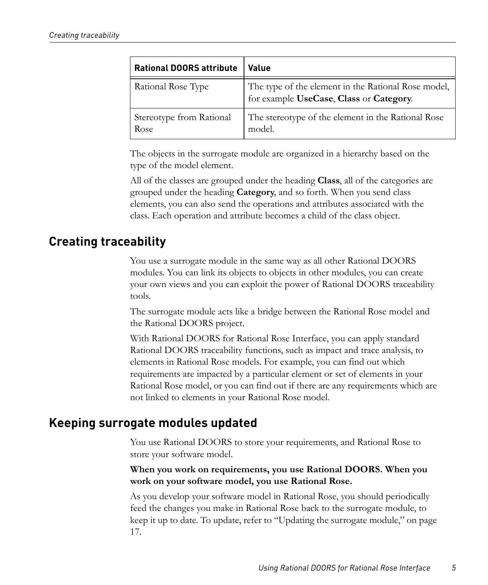| <b>Rational DOORS attribute</b>  | Value                                                                                          |
|----------------------------------|------------------------------------------------------------------------------------------------|
| Rational Rose Type               | The type of the element in the Rational Rose model,<br>for example UseCase, Class or Category. |
| Stereotype from Rational<br>Rose | The stereotype of the element in the Rational Rose<br>model.                                   |

<span id="page-10-3"></span>The objects in the surrogate module are organized in a hierarchy based on the type of the model element.

All of the classes are grouped under the heading **Class**, all of the categories are grouped under the heading **Category**, and so forth. When you send class elements, you can also send the operations and attributes associated with the class. Each operation and attribute becomes a child of the class object.

# <span id="page-10-4"></span><span id="page-10-0"></span>**Creating traceability**

You use a surrogate module in the same way as all other Rational DOORS modules. You can link its objects to objects in other modules, you can create your own views and you can exploit the power of Rational DOORS traceability tools.

The surrogate module acts like a bridge between the Rational Rose model and the Rational DOORS project.

With Rational DOORS for Rational Rose Interface, you can apply standard Rational DOORS traceability functions, such as impact and trace analysis, to elements in Rational Rose models. For example, you can find out which requirements are impacted by a particular element or set of elements in your Rational Rose model, or you can find out if there are any requirements which are not linked to elements in your Rational Rose model.

# <span id="page-10-1"></span>**Keeping surrogate modules updated**

<span id="page-10-2"></span>You use Rational DOORS to store your requirements, and Rational Rose to store your software model.

#### **When you work on requirements, you use Rational DOORS. When you work on your software model, you use Rational Rose.**

As you develop your software model in Rational Rose, you should periodically feed the changes you make in Rational Rose back to the surrogate module, to keep it up to date. To update, refer to ["Updating the surrogate module," on page](#page-22-2)  [17](#page-22-2).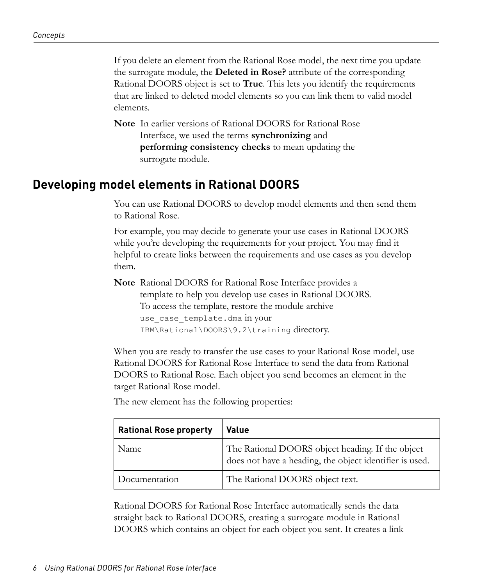If you delete an element from the Rational Rose model, the next time you update the surrogate module, the **Deleted in Rose?** attribute of the corresponding Rational DOORS object is set to **True**. This lets you identify the requirements that are linked to deleted model elements so you can link them to valid model elements.

<span id="page-11-2"></span>**Note** In earlier versions of Rational DOORS for Rational Rose Interface, we used the terms **synchronizing** and **performing consistency checks** to mean updating the surrogate module.

#### <span id="page-11-1"></span><span id="page-11-0"></span>**Developing model elements in Rational DOORS**

You can use Rational DOORS to develop model elements and then send them to Rational Rose.

For example, you may decide to generate your use cases in Rational DOORS while you're developing the requirements for your project. You may find it helpful to create links between the requirements and use cases as you develop them.

**Note** Rational DOORS for Rational Rose Interface provides a template to help you develop use cases in Rational DOORS. To access the template, restore the module archive use case template.dma in your IBM\Rational\DOORS\9.2\training directory.

When you are ready to transfer the use cases to your Rational Rose model, use Rational DOORS for Rational Rose Interface to send the data from Rational DOORS to Rational Rose. Each object you send becomes an element in the target Rational Rose model.

The new element has the following properties:

| <b>Rational Rose property</b> | Value                                                                                                       |
|-------------------------------|-------------------------------------------------------------------------------------------------------------|
| Name                          | The Rational DOORS object heading. If the object<br>does not have a heading, the object identifier is used. |
| Documentation                 | The Rational DOORS object text.                                                                             |

Rational DOORS for Rational Rose Interface automatically sends the data straight back to Rational DOORS, creating a surrogate module in Rational DOORS which contains an object for each object you sent. It creates a link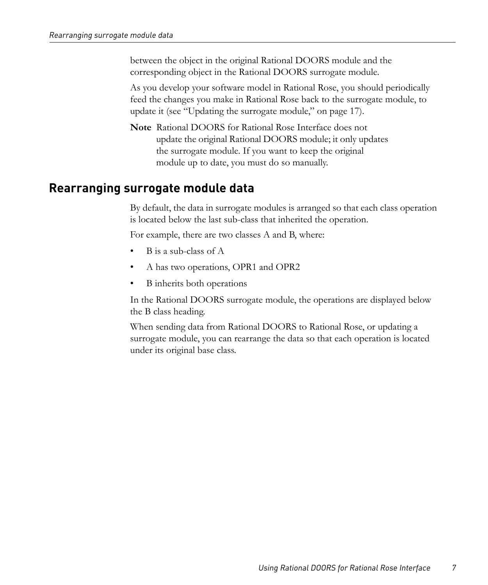between the object in the original Rational DOORS module and the corresponding object in the Rational DOORS surrogate module.

As you develop your software model in Rational Rose, you should periodically feed the changes you make in Rational Rose back to the surrogate module, to update it (see ["Updating the surrogate module," on page 17\)](#page-22-2).

**Note** Rational DOORS for Rational Rose Interface does not update the original Rational DOORS module; it only updates the surrogate module. If you want to keep the original module up to date, you must do so manually.

#### <span id="page-12-1"></span><span id="page-12-0"></span>**Rearranging surrogate module data**

By default, the data in surrogate modules is arranged so that each class operation is located below the last sub-class that inherited the operation.

For example, there are two classes A and B, where:

- B is a sub-class of A
- A has two operations, OPR1 and OPR2
- B inherits both operations

In the Rational DOORS surrogate module, the operations are displayed below the B class heading.

When sending data from Rational DOORS to Rational Rose, or updating a surrogate module, you can rearrange the data so that each operation is located under its original base class.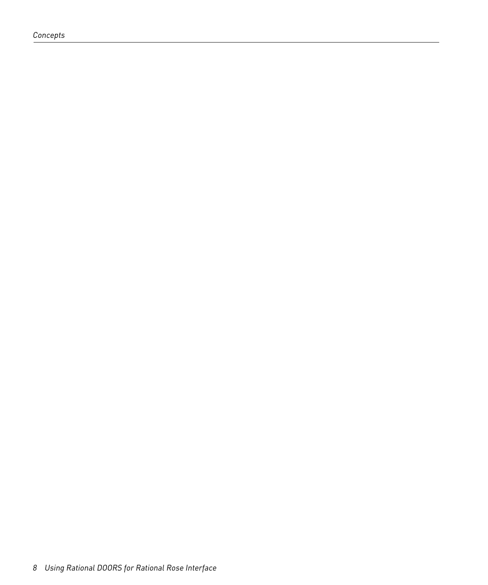*Concepts*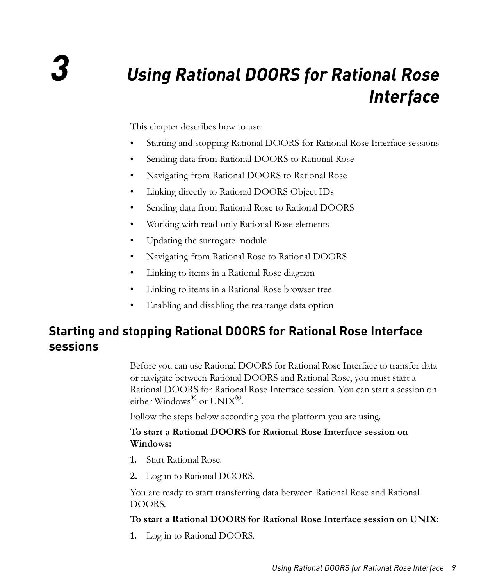# <span id="page-14-0"></span>*3 Using Rational DOORS for Rational Rose Interface*

This chapter describes how to use:

- [Starting and stopping Rational DOORS for Rational Rose Interface sessions](#page-14-1)
- [Sending data from Rational DOORS to Rational Rose](#page-15-0)
- [Navigating from Rational DOORS to Rational Rose](#page-18-0)
- [Linking directly to Rational DOORS Object IDs](#page-18-1)
- [Sending data from Rational Rose to Rational DOORS](#page-19-0)
- [Working with read-only Rational Rose elements](#page-22-0)
- [Updating the surrogate module](#page-22-1)
- [Navigating from Rational Rose to Rational DOORS](#page-23-0)
- [Linking to items in a Rational Rose diagram](#page-23-1)
- [Linking to items in a Rational Rose browser tree](#page-24-0)
- [Enabling and disabling the rearrange data option](#page-24-1)

# <span id="page-14-2"></span><span id="page-14-1"></span>**Starting and stopping Rational DOORS for Rational Rose Interface sessions**

Before you can use Rational DOORS for Rational Rose Interface to transfer data or navigate between Rational DOORS and Rational Rose, you must start a Rational DOORS for Rational Rose Interface session. You can start a session on either Windows $^{\circledR}$  or UNIX $^{\circledR}$ .

Follow the steps below according you the platform you are using.

#### **To start a Rational DOORS for Rational Rose Interface session on Windows:**

- **1.** Start Rational Rose.
- **2.** Log in to Rational DOORS.

You are ready to start transferring data between Rational Rose and Rational DOORS.

#### **To start a Rational DOORS for Rational Rose Interface session on UNIX:**

**1.** Log in to Rational DOORS.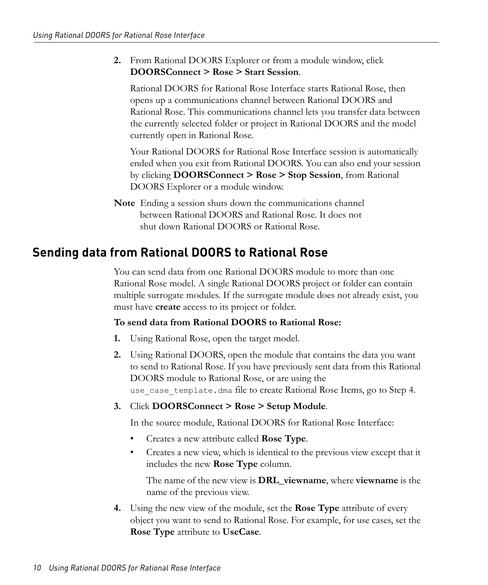**2.** From Rational DOORS Explorer or from a module window, click **DOORSConnect > Rose > Start Session**.

Rational DOORS for Rational Rose Interface starts Rational Rose, then opens up a communications channel between Rational DOORS and Rational Rose. This communications channel lets you transfer data between the currently selected folder or project in Rational DOORS and the model currently open in Rational Rose.

<span id="page-15-3"></span>Your Rational DOORS for Rational Rose Interface session is automatically ended when you exit from Rational DOORS. You can also end your session by clicking **DOORSConnect > Rose > Stop Session**, from Rational DOORS Explorer or a module window.

**Note** Ending a session shuts down the communications channel between Rational DOORS and Rational Rose. It does not shut down Rational DOORS or Rational Rose.

# <span id="page-15-2"></span><span id="page-15-0"></span>**Sending data from Rational DOORS to Rational Rose**

You can send data from one Rational DOORS module to more than one Rational Rose model. A single Rational DOORS project or folder can contain multiple surrogate modules. If the surrogate module does not already exist, you must have **create** access to its project or folder.

#### **To send data from Rational DOORS to Rational Rose:**

- **1.** Using Rational Rose, open the target model.
- **2.** Using Rational DOORS, open the module that contains the data you want to send to Rational Rose. If you have previously sent data from this Rational DOORS module to Rational Rose, or are using the use case template.dma file to create Rational Rose Items, go to [Step 4.](#page-15-1)

#### **3.** Click **DOORSConnect > Rose > Setup Module**.

In the source module, Rational DOORS for Rational Rose Interface:

- Creates a new attribute called **Rose Type**.
- Creates a new view, which is identical to the previous view except that it includes the new **Rose Type** column.

The name of the new view is **DRL\_viewname**, where **viewname** is the name of the previous view.

<span id="page-15-1"></span>**4.** Using the new view of the module, set the **Rose Type** attribute of every object you want to send to Rational Rose. For example, for use cases, set the **Rose Type** attribute to **UseCase**.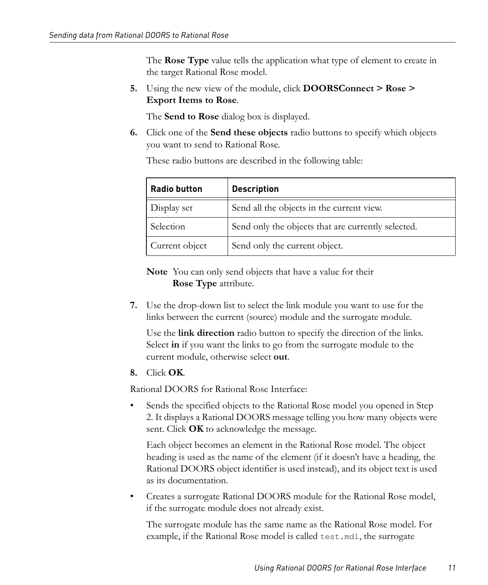The **Rose Type** value tells the application what type of element to create in the target Rational Rose model.

**5.** Using the new view of the module, click **DOORSConnect > Rose > Export Items to Rose**.

The **Send to Rose** dialog box is displayed.

**6.** Click one of the **Send these objects** radio buttons to specify which objects you want to send to Rational Rose.

These radio buttons are described in the following table:

| <b>Radio button</b> | <b>Description</b>                                 |
|---------------------|----------------------------------------------------|
| Display set         | Send all the objects in the current view.          |
| Selection           | Send only the objects that are currently selected. |
| Current object      | Send only the current object.                      |

**Note** You can only send objects that have a value for their **Rose Type** attribute.

**7.** Use the drop-down list to select the link module you want to use for the links between the current (source) module and the surrogate module.

Use the **link direction** radio button to specify the direction of the links. Select **in** if you want the links to go from the surrogate module to the current module, otherwise select **out**.

#### **8.** Click **OK**.

Rational DOORS for Rational Rose Interface:

• Sends the specified objects to the Rational Rose model you opened in Step 2. It displays a Rational DOORS message telling you how many objects were sent. Click **OK** to acknowledge the message.

Each object becomes an element in the Rational Rose model. The object heading is used as the name of the element (if it doesn't have a heading, the Rational DOORS object identifier is used instead), and its object text is used as its documentation.

• Creates a surrogate Rational DOORS module for the Rational Rose model, if the surrogate module does not already exist.

The surrogate module has the same name as the Rational Rose model. For example, if the Rational Rose model is called test.mdl, the surrogate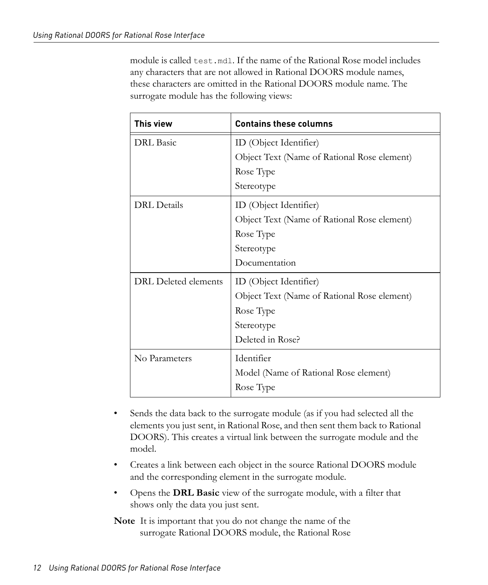module is called test.mdl. If the name of the Rational Rose model includes any characters that are not allowed in Rational DOORS module names, these characters are omitted in the Rational DOORS module name. The surrogate module has the following views:

| This view            | <b>Contains these columns</b>               |
|----------------------|---------------------------------------------|
| DRL Basic            | ID (Object Identifier)                      |
|                      | Object Text (Name of Rational Rose element) |
|                      | Rose Type                                   |
|                      | Stereotype                                  |
| <b>DRL</b> Details   | ID (Object Identifier)                      |
|                      | Object Text (Name of Rational Rose element) |
|                      | Rose Type                                   |
|                      | Stereotype                                  |
|                      | Documentation                               |
| DRL Deleted elements | ID (Object Identifier)                      |
|                      | Object Text (Name of Rational Rose element) |
|                      | Rose Type                                   |
|                      | Stereotype                                  |
|                      | Deleted in Rose?                            |
| No Parameters        | Identifier                                  |
|                      | Model (Name of Rational Rose element)       |
|                      | Rose Type                                   |

- Sends the data back to the surrogate module (as if you had selected all the elements you just sent, in Rational Rose, and then sent them back to Rational DOORS). This creates a virtual link between the surrogate module and the model.
- Creates a link between each object in the source Rational DOORS module and the corresponding element in the surrogate module.
- Opens the **DRL Basic** view of the surrogate module, with a filter that shows only the data you just sent.
- **Note** It is important that you do not change the name of the surrogate Rational DOORS module, the Rational Rose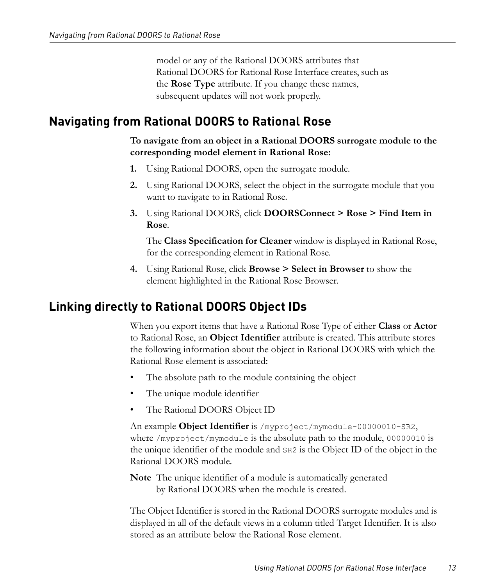model or any of the Rational DOORS attributes that Rational DOORS for Rational Rose Interface creates, such as the **Rose Type** attribute. If you change these names, subsequent updates will not work properly.

# <span id="page-18-4"></span><span id="page-18-0"></span>**Navigating from Rational DOORS to Rational Rose**

#### **To navigate from an object in a Rational DOORS surrogate module to the corresponding model element in Rational Rose:**

- **1.** Using Rational DOORS, open the surrogate module.
- **2.** Using Rational DOORS, select the object in the surrogate module that you want to navigate to in Rational Rose.
- **3.** Using Rational DOORS, click **DOORSConnect > Rose > Find Item in Rose**.

The **Class Specification for Cleaner** window is displayed in Rational Rose, for the corresponding element in Rational Rose.

**4.** Using Rational Rose, click **Browse > Select in Browser** to show the element highlighted in the Rational Rose Browser.

# <span id="page-18-3"></span><span id="page-18-1"></span>**Linking directly to Rational DOORS Object IDs**

<span id="page-18-2"></span>When you export items that have a Rational Rose Type of either **Class** or **Actor** to Rational Rose, an **Object Identifier** attribute is created. This attribute stores the following information about the object in Rational DOORS with which the Rational Rose element is associated:

- The absolute path to the module containing the object
- The unique module identifier
- The Rational DOORS Object ID

An example **Object Identifier** is /myproject/mymodule-00000010-SR2, where /myproject/mymodule is the absolute path to the module, 00000010 is the unique identifier of the module and SR2 is the Object ID of the object in the Rational DOORS module.

**Note** The unique identifier of a module is automatically generated by Rational DOORS when the module is created.

The Object Identifier is stored in the Rational DOORS surrogate modules and is displayed in all of the default views in a column titled Target Identifier. It is also stored as an attribute below the Rational Rose element.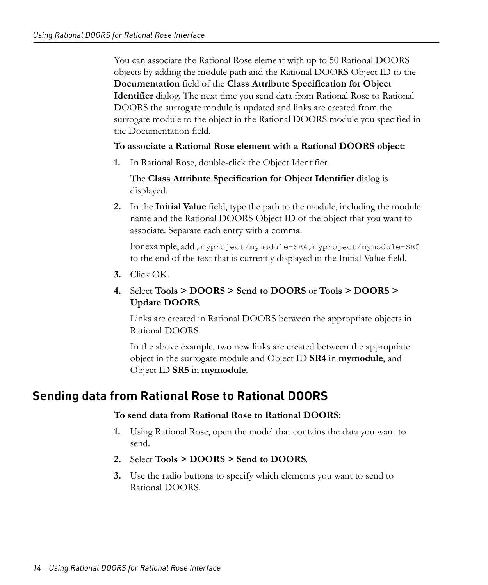You can associate the Rational Rose element with up to 50 Rational DOORS objects by adding the module path and the Rational DOORS Object ID to the **Documentation** field of the **Class Attribute Specification for Object Identifier** dialog. The next time you send data from Rational Rose to Rational DOORS the surrogate module is updated and links are created from the surrogate module to the object in the Rational DOORS module you specified in the Documentation field.

#### <span id="page-19-2"></span>**To associate a Rational Rose element with a Rational DOORS object:**

**1.** In Rational Rose, double-click the Object Identifier.

The **Class Attribute Specification for Object Identifier** dialog is displayed.

**2.** In the **Initial Value** field, type the path to the module, including the module name and the Rational DOORS Object ID of the object that you want to associate. Separate each entry with a comma.

For example, add ,myproject/mymodule-SR4,myproject/mymodule-SR5 to the end of the text that is currently displayed in the Initial Value field.

**3.** Click OK.

#### **4.** Select **Tools > DOORS > Send to DOORS** or **Tools > DOORS > Update DOORS**.

Links are created in Rational DOORS between the appropriate objects in Rational DOORS.

In the above example, two new links are created between the appropriate object in the surrogate module and Object ID **SR4** in **mymodule**, and Object ID **SR5** in **mymodule**.

# <span id="page-19-1"></span><span id="page-19-0"></span>**Sending data from Rational Rose to Rational DOORS**

#### **To send data from Rational Rose to Rational DOORS:**

- **1.** Using Rational Rose, open the model that contains the data you want to send.
- **2.** Select **Tools > DOORS > Send to DOORS**.
- **3.** Use the radio buttons to specify which elements you want to send to Rational DOORS.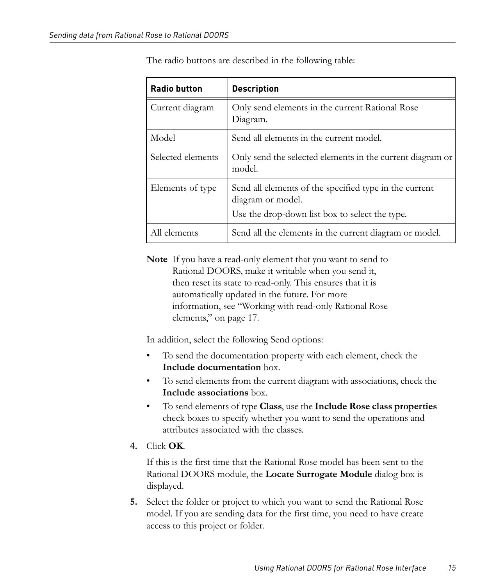| <b>Radio button</b> | <b>Description</b>                                                                                                            |
|---------------------|-------------------------------------------------------------------------------------------------------------------------------|
| Current diagram     | Only send elements in the current Rational Rose<br>Diagram.                                                                   |
| Model               | Send all elements in the current model.                                                                                       |
| Selected elements   | Only send the selected elements in the current diagram or<br>model.                                                           |
| Elements of type    | Send all elements of the specified type in the current<br>diagram or model.<br>Use the drop-down list box to select the type. |
| All elements        | Send all the elements in the current diagram or model.                                                                        |

The radio buttons are described in the following table:

**Note** If you have a read-only element that you want to send to Rational DOORS, make it writable when you send it, then reset its state to read-only. This ensures that it is automatically updated in the future. For more information, see ["Working with read-only Rational Rose](#page-22-0)  [elements," on page 17](#page-22-0).

In addition, select the following Send options:

- To send the documentation property with each element, check the **Include documentation** box.
- To send elements from the current diagram with associations, check the **Include associations** box.
- To send elements of type **Class**, use the **Include Rose class properties** check boxes to specify whether you want to send the operations and attributes associated with the classes.
- **4.** Click **OK**.

If this is the first time that the Rational Rose model has been sent to the Rational DOORS module, the **Locate Surrogate Module** dialog box is displayed.

**5.** Select the folder or project to which you want to send the Rational Rose model. If you are sending data for the first time, you need to have create access to this project or folder.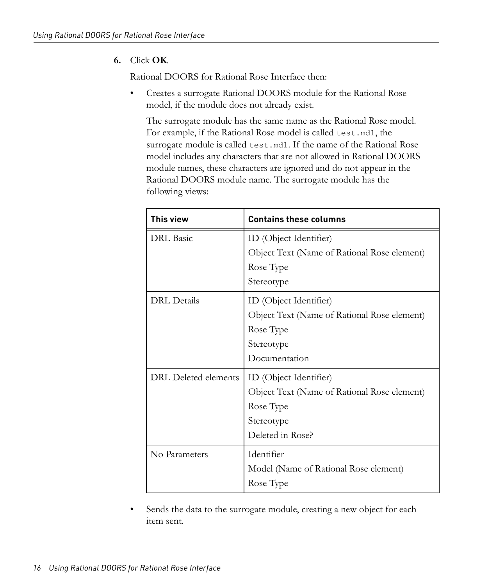#### **6.** Click **OK**.

Rational DOORS for Rational Rose Interface then:

• Creates a surrogate Rational DOORS module for the Rational Rose model, if the module does not already exist.

The surrogate module has the same name as the Rational Rose model. For example, if the Rational Rose model is called test.mdl, the surrogate module is called test.mdl. If the name of the Rational Rose model includes any characters that are not allowed in Rational DOORS module names, these characters are ignored and do not appear in the Rational DOORS module name. The surrogate module has the following views:

| This view            | <b>Contains these columns</b>                                                                                        |
|----------------------|----------------------------------------------------------------------------------------------------------------------|
| DRL Basic            | ID (Object Identifier)<br>Object Text (Name of Rational Rose element)                                                |
|                      | Rose Type<br>Stereotype                                                                                              |
| <b>DRL</b> Details   | ID (Object Identifier)<br>Object Text (Name of Rational Rose element)<br>Rose Type<br>Stereotype<br>Documentation    |
| DRL Deleted elements | ID (Object Identifier)<br>Object Text (Name of Rational Rose element)<br>Rose Type<br>Stereotype<br>Deleted in Rose? |
| No Parameters        | Identifier<br>Model (Name of Rational Rose element)<br>Rose Type                                                     |

Sends the data to the surrogate module, creating a new object for each item sent.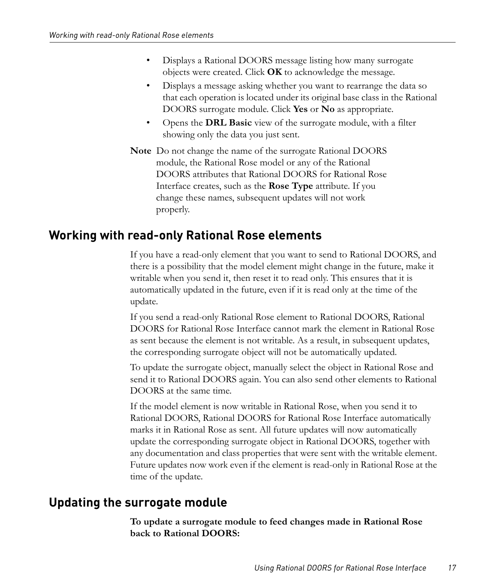- Displays a Rational DOORS message listing how many surrogate objects were created. Click **OK** to acknowledge the message.
- Displays a message asking whether you want to rearrange the data so that each operation is located under its original base class in the Rational DOORS surrogate module. Click **Yes** or **No** as appropriate.
- Opens the **DRL Basic** view of the surrogate module, with a filter showing only the data you just sent.
- **Note** Do not change the name of the surrogate Rational DOORS module, the Rational Rose model or any of the Rational DOORS attributes that Rational DOORS for Rational Rose Interface creates, such as the **Rose Type** attribute. If you change these names, subsequent updates will not work properly.

#### <span id="page-22-3"></span><span id="page-22-0"></span>**Working with read-only Rational Rose elements**

If you have a read-only element that you want to send to Rational DOORS, and there is a possibility that the model element might change in the future, make it writable when you send it, then reset it to read only. This ensures that it is automatically updated in the future, even if it is read only at the time of the update.

If you send a read-only Rational Rose element to Rational DOORS, Rational DOORS for Rational Rose Interface cannot mark the element in Rational Rose as sent because the element is not writable. As a result, in subsequent updates, the corresponding surrogate object will not be automatically updated.

To update the surrogate object, manually select the object in Rational Rose and send it to Rational DOORS again. You can also send other elements to Rational DOORS at the same time.

If the model element is now writable in Rational Rose, when you send it to Rational DOORS, Rational DOORS for Rational Rose Interface automatically marks it in Rational Rose as sent. All future updates will now automatically update the corresponding surrogate object in Rational DOORS, together with any documentation and class properties that were sent with the writable element. Future updates now work even if the element is read-only in Rational Rose at the time of the update.

# <span id="page-22-2"></span><span id="page-22-1"></span>**Updating the surrogate module**

**To update a surrogate module to feed changes made in Rational Rose back to Rational DOORS:**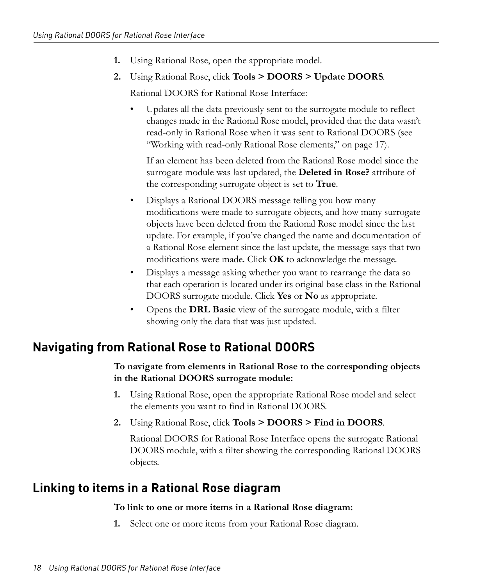- **1.** Using Rational Rose, open the appropriate model.
- **2.** Using Rational Rose, click **Tools > DOORS > Update DOORS**.

Rational DOORS for Rational Rose Interface:

• Updates all the data previously sent to the surrogate module to reflect changes made in the Rational Rose model, provided that the data wasn't read-only in Rational Rose when it was sent to Rational DOORS (see ["Working with read-only Rational Rose elements," on page 17](#page-22-0)).

If an element has been deleted from the Rational Rose model since the surrogate module was last updated, the **Deleted in Rose?** attribute of the corresponding surrogate object is set to **True**.

- Displays a Rational DOORS message telling you how many modifications were made to surrogate objects, and how many surrogate objects have been deleted from the Rational Rose model since the last update. For example, if you've changed the name and documentation of a Rational Rose element since the last update, the message says that two modifications were made. Click **OK** to acknowledge the message.
- Displays a message asking whether you want to rearrange the data so that each operation is located under its original base class in the Rational DOORS surrogate module. Click **Yes** or **No** as appropriate.
- Opens the **DRL Basic** view of the surrogate module, with a filter showing only the data that was just updated.

# <span id="page-23-3"></span><span id="page-23-0"></span>**Navigating from Rational Rose to Rational DOORS**

#### **To navigate from elements in Rational Rose to the corresponding objects in the Rational DOORS surrogate module:**

- **1.** Using Rational Rose, open the appropriate Rational Rose model and select the elements you want to find in Rational DOORS.
- **2.** Using Rational Rose, click **Tools > DOORS > Find in DOORS**.

Rational DOORS for Rational Rose Interface opens the surrogate Rational DOORS module, with a filter showing the corresponding Rational DOORS objects.

# <span id="page-23-2"></span><span id="page-23-1"></span>**Linking to items in a Rational Rose diagram**

#### **To link to one or more items in a Rational Rose diagram:**

**1.** Select one or more items from your Rational Rose diagram.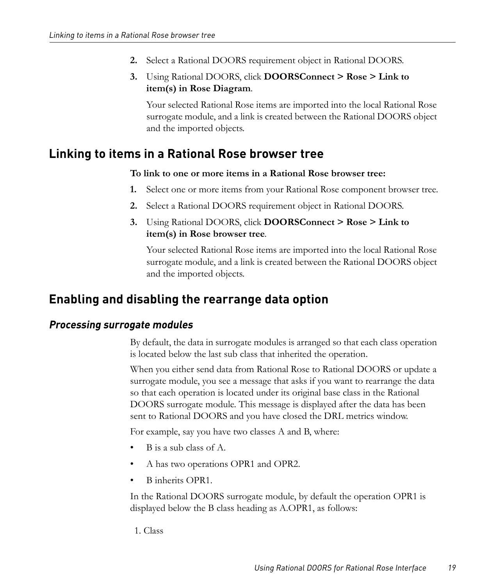- **2.** Select a Rational DOORS requirement object in Rational DOORS.
- **3.** Using Rational DOORS, click **DOORSConnect > Rose > Link to item(s) in Rose Diagram**.

Your selected Rational Rose items are imported into the local Rational Rose surrogate module, and a link is created between the Rational DOORS object and the imported objects.

#### <span id="page-24-3"></span><span id="page-24-0"></span>**Linking to items in a Rational Rose browser tree**

#### **To link to one or more items in a Rational Rose browser tree:**

- **1.** Select one or more items from your Rational Rose component browser tree.
- **2.** Select a Rational DOORS requirement object in Rational DOORS.
- **3.** Using Rational DOORS, click **DOORSConnect > Rose > Link to item(s) in Rose browser tree**.

Your selected Rational Rose items are imported into the local Rational Rose surrogate module, and a link is created between the Rational DOORS object and the imported objects.

# <span id="page-24-4"></span><span id="page-24-1"></span>**Enabling and disabling the rearrange data option**

#### <span id="page-24-5"></span><span id="page-24-2"></span>*Processing surrogate modules*

By default, the data in surrogate modules is arranged so that each class operation is located below the last sub class that inherited the operation.

When you either send data from Rational Rose to Rational DOORS or update a surrogate module, you see a message that asks if you want to rearrange the data so that each operation is located under its original base class in the Rational DOORS surrogate module. This message is displayed after the data has been sent to Rational DOORS and you have closed the DRL metrics window.

For example, say you have two classes A and B, where:

- B is a sub class of A.
- A has two operations OPR1 and OPR2.
- B inherits OPR1.

In the Rational DOORS surrogate module, by default the operation OPR1 is displayed below the B class heading as A.OPR1, as follows:

1. Class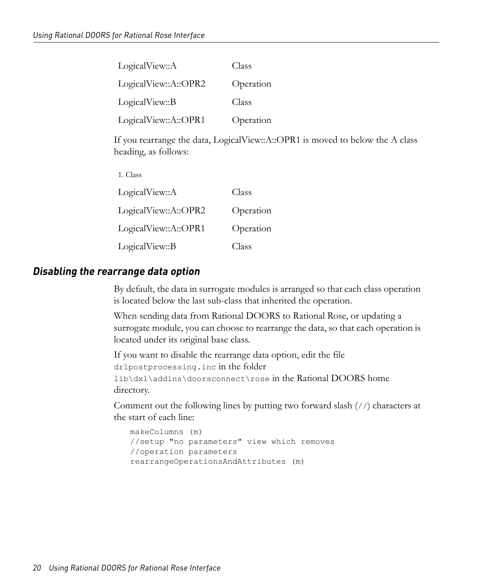| LogicalView::A       | Class     |
|----------------------|-----------|
| LogicalView::A::OPR2 | Operation |
| LogicalView::B       | Class     |
| LogicalView::A::OPR1 | Operation |

If you rearrange the data, LogicalView::A::OPR1 is moved to below the A class heading, as follows:

| 1. Class             |           |
|----------------------|-----------|
| LogicalView::A       | Class     |
| LogicalView::A::OPR2 | Operation |
| LogicalView::A::OPR1 | Operation |
| LogicalView::B       | Class     |

#### <span id="page-25-1"></span><span id="page-25-0"></span>*Disabling the rearrange data option*

By default, the data in surrogate modules is arranged so that each class operation is located below the last sub-class that inherited the operation.

When sending data from Rational DOORS to Rational Rose, or updating a surrogate module, you can choose to rearrange the data, so that each operation is located under its original base class.

If you want to disable the rearrange data option, edit the file

drlpostprocessing.inc in the folder

lib\dxl\addins\doorsconnect\rose in the Rational DOORS home directory.

Comment out the following lines by putting two forward slash (//) characters at the start of each line:

```
makeColumns (m) 
//setup "no parameters" view which removes
//operation parameters
rearrangeOperationsAndAttributes (m)
```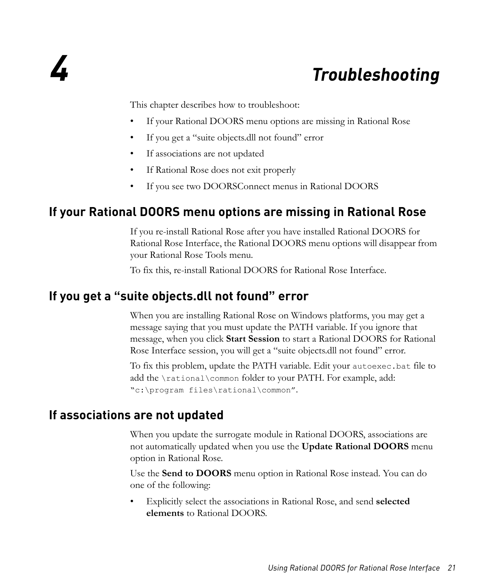# <span id="page-26-0"></span>*4 Troubleshooting*

This chapter describes how to troubleshoot:

- [If your Rational DOORS menu options are missing in Rational Rose](#page-26-1)
- [If you get a "suite objects.dll not found" error](#page-26-2)
- [If associations are not updated](#page-26-3)
- [If Rational Rose does not exit properly](#page-27-0)
- [If you see two DOORSConnect menus in Rational DOORS](#page-27-1)

# <span id="page-26-6"></span><span id="page-26-1"></span>**If your Rational DOORS menu options are missing in Rational Rose**

If you re-install Rational Rose after you have installed Rational DOORS for Rational Rose Interface, the Rational DOORS menu options will disappear from your Rational Rose Tools menu.

To fix this, re-install Rational DOORS for Rational Rose Interface.

# <span id="page-26-4"></span><span id="page-26-2"></span>**If you get a "suite objects.dll not found" error**

When you are installing Rational Rose on Windows platforms, you may get a message saying that you must update the PATH variable. If you ignore that message, when you click **Start Session** to start a Rational DOORS for Rational Rose Interface session, you will get a "suite objects.dll not found" error.

To fix this problem, update the PATH variable. Edit your autoexec.bat file to add the \rational\common folder to your PATH. For example, add: "c:\program files\rational\common".

# <span id="page-26-5"></span><span id="page-26-3"></span>**If associations are not updated**

When you update the surrogate module in Rational DOORS, associations are not automatically updated when you use the **Update Rational DOORS** menu option in Rational Rose.

Use the **Send to DOORS** menu option in Rational Rose instead. You can do one of the following:

• Explicitly select the associations in Rational Rose, and send **selected elements** to Rational DOORS.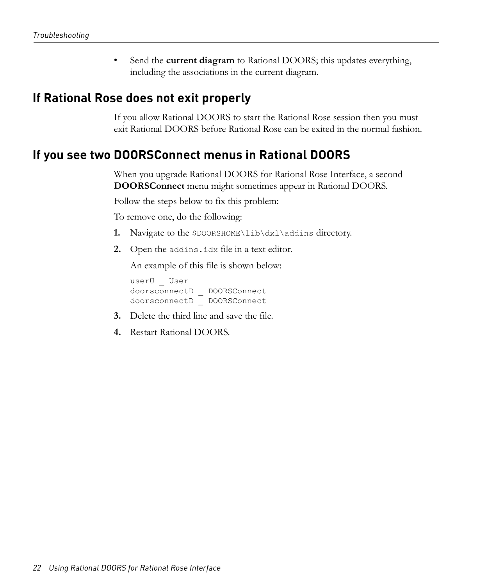• Send the **current diagram** to Rational DOORS; this updates everything, including the associations in the current diagram.

#### <span id="page-27-2"></span><span id="page-27-0"></span>**If Rational Rose does not exit properly**

If you allow Rational DOORS to start the Rational Rose session then you must exit Rational DOORS before Rational Rose can be exited in the normal fashion.

# <span id="page-27-3"></span><span id="page-27-1"></span>**If you see two DOORSConnect menus in Rational DOORS**

When you upgrade Rational DOORS for Rational Rose Interface, a second **DOORSConnect** menu might sometimes appear in Rational DOORS.

Follow the steps below to fix this problem:

To remove one, do the following:

- **1.** Navigate to the \$DOORSHOME\lib\dxl\addins directory.
- **2.** Open the addins.idx file in a text editor.

An example of this file is shown below:

userU \_ User doorsconnectD \_ DOORSConnect doorsconnectD \_ DOORSConnect

- **3.** Delete the third line and save the file.
- **4.** Restart Rational DOORS.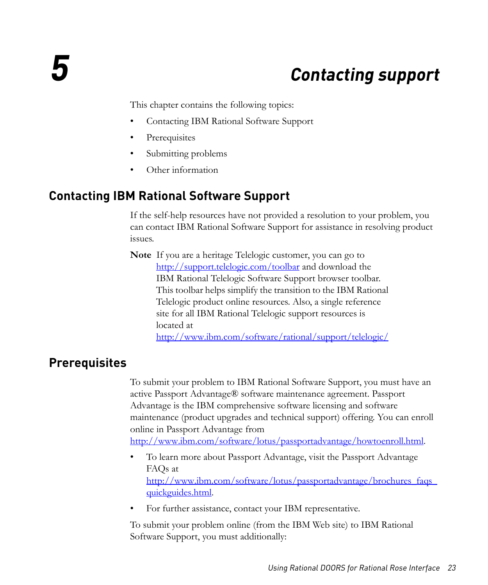# *5 Contacting support*

<span id="page-28-0"></span>This chapter contains the following topics:

- [Contacting IBM Rational Software Support](#page-28-1)
- **[Prerequisites](#page-28-2)**
- [Submitting problems](#page-29-0)
- <span id="page-28-3"></span>• [Other information](#page-31-0)

#### <span id="page-28-1"></span>**Contacting IBM Rational Software Support**

If the self-help resources have not provided a resolution to your problem, you can contact IBM Rational Software Support for assistance in resolving product issues.

**Note** If you are a heritage Telelogic customer, you can go to http://support.telelogic.com/toolbar and download the IBM Rational Telelogic Software Support browser toolbar. This toolbar helps simplify the transition to the IBM Rational Telelogic product online resources. Also, a single reference site for all IBM Rational Telelogic support resources is located at

http://www.ibm.com/software/rational/support/telelogic/

#### <span id="page-28-2"></span>**Prerequisites**

To submit your problem to IBM Rational Software Support, you must have an active Passport Advantage® software maintenance agreement. Passport Advantage is the IBM comprehensive software licensing and software maintenance (product upgrades and technical support) offering. You can enroll online in Passport Advantage from

http://www.ibm.com/software/lotus/passportadvantage/howtoenroll.html.

- To learn more about Passport Advantage, visit the Passport Advantage FAQs at http://www.ibm.com/software/lotus/passportadvantage/brochures\_faqs\_ quickguides.html.
- For further assistance, contact your IBM representative.

To submit your problem online (from the IBM Web site) to IBM Rational Software Support, you must additionally: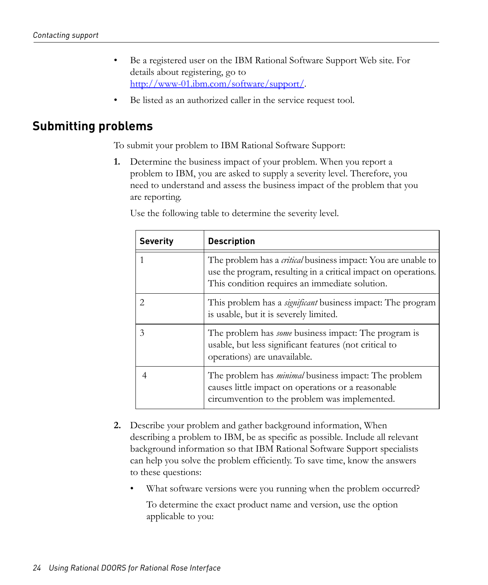- Be a registered user on the IBM Rational Software Support Web site. For details about registering, go to http://www-01.ibm.com/software/support/.
- Be listed as an authorized caller in the service request tool.

#### <span id="page-29-0"></span>**Submitting problems**

To submit your problem to IBM Rational Software Support:

**1.** Determine the business impact of your problem. When you report a problem to IBM, you are asked to supply a severity level. Therefore, you need to understand and assess the business impact of the problem that you are reporting.

Use the following table to determine the severity level.

| <b>Severity</b> | <b>Description</b>                                                                                                                                                                       |
|-----------------|------------------------------------------------------------------------------------------------------------------------------------------------------------------------------------------|
| 1               | The problem has a <i>critical</i> business impact: You are unable to<br>use the program, resulting in a critical impact on operations.<br>This condition requires an immediate solution. |
| $\mathfrak{D}$  | This problem has a <i>significant</i> business impact: The program<br>is usable, but it is severely limited.                                                                             |
| 3               | The problem has <i>some</i> business impact: The program is<br>usable, but less significant features (not critical to<br>operations) are unavailable.                                    |
|                 | The problem has <i>minimal</i> business impact: The problem<br>causes little impact on operations or a reasonable<br>circumvention to the problem was implemented.                       |

- **2.** Describe your problem and gather background information, When describing a problem to IBM, be as specific as possible. Include all relevant background information so that IBM Rational Software Support specialists can help you solve the problem efficiently. To save time, know the answers to these questions:
	- What software versions were you running when the problem occurred? To determine the exact product name and version, use the option

applicable to you: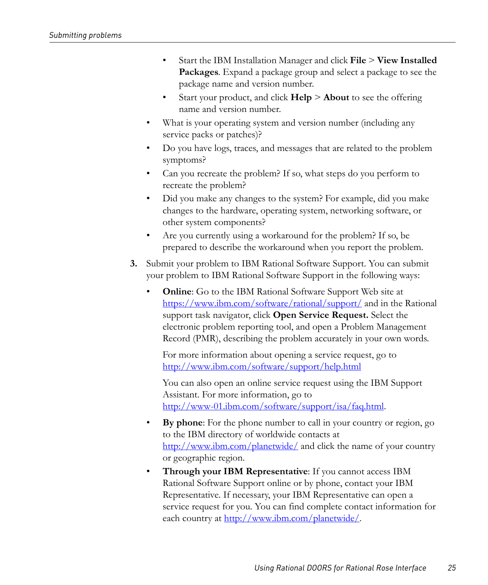- Start the IBM Installation Manager and click **File** > **View Installed Packages**. Expand a package group and select a package to see the package name and version number.
- Start your product, and click **Help** > **About** to see the offering name and version number.
- What is your operating system and version number (including any service packs or patches)?
- Do you have logs, traces, and messages that are related to the problem symptoms?
- Can you recreate the problem? If so, what steps do you perform to recreate the problem?
- Did you make any changes to the system? For example, did you make changes to the hardware, operating system, networking software, or other system components?
- Are you currently using a workaround for the problem? If so, be prepared to describe the workaround when you report the problem.
- **3.** Submit your problem to IBM Rational Software Support. You can submit your problem to IBM Rational Software Support in the following ways:
	- **Online**: Go to the IBM Rational Software Support Web site at https://www.ibm.com/software/rational/support/ and in the Rational support task navigator, click **Open Service Request.** Select the electronic problem reporting tool, and open a Problem Management Record (PMR), describing the problem accurately in your own words.

For more information about opening a service request, go to http://www.ibm.com/software/support/help.html

You can also open an online service request using the IBM Support Assistant. For more information, go to http://www-01.ibm.com/software/support/isa/faq.html.

- **By phone**: For the phone number to call in your country or region, go to the IBM directory of worldwide contacts at http://www.ibm.com/planetwide/ and click the name of your country or geographic region.
- **Through your IBM Representative:** If you cannot access IBM Rational Software Support online or by phone, contact your IBM Representative. If necessary, your IBM Representative can open a service request for you. You can find complete contact information for each country at http://www.ibm.com/planetwide/.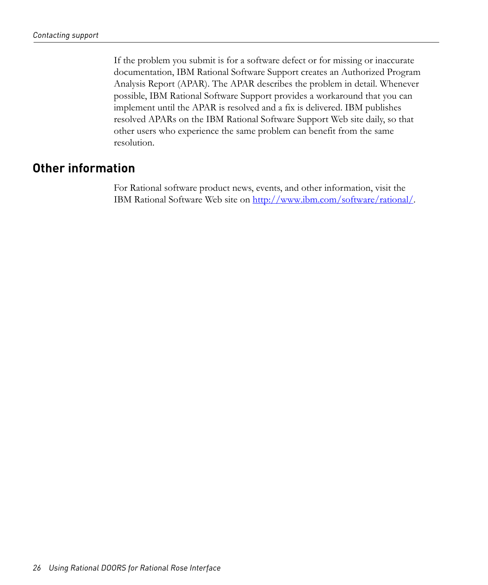If the problem you submit is for a software defect or for missing or inaccurate documentation, IBM Rational Software Support creates an Authorized Program Analysis Report (APAR). The APAR describes the problem in detail. Whenever possible, IBM Rational Software Support provides a workaround that you can implement until the APAR is resolved and a fix is delivered. IBM publishes resolved APARs on the IBM Rational Software Support Web site daily, so that other users who experience the same problem can benefit from the same resolution.

#### <span id="page-31-0"></span>**Other information**

For Rational software product news, events, and other information, visit the IBM Rational Software Web site on http://www.ibm.com/software/rational/.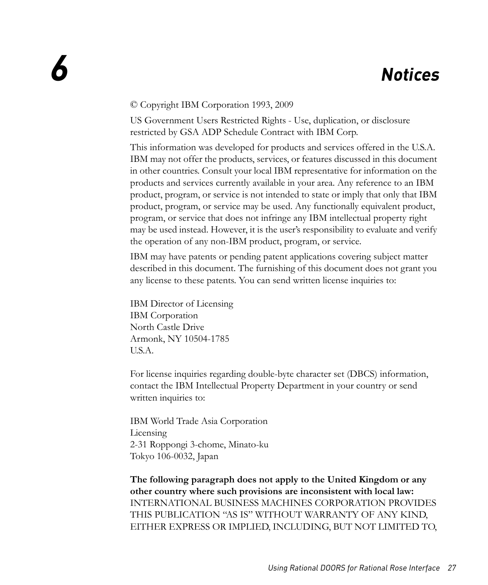#### <span id="page-32-1"></span><span id="page-32-0"></span>© Copyright IBM Corporation 1993, 2009

US Government Users Restricted Rights - Use, duplication, or disclosure restricted by GSA ADP Schedule Contract with IBM Corp.

This information was developed for products and services offered in the U.S.A. IBM may not offer the products, services, or features discussed in this document in other countries. Consult your local IBM representative for information on the products and services currently available in your area. Any reference to an IBM product, program, or service is not intended to state or imply that only that IBM product, program, or service may be used. Any functionally equivalent product, program, or service that does not infringe any IBM intellectual property right may be used instead. However, it is the user's responsibility to evaluate and verify the operation of any non-IBM product, program, or service.

IBM may have patents or pending patent applications covering subject matter described in this document. The furnishing of this document does not grant you any license to these patents. You can send written license inquiries to:

IBM Director of Licensing IBM Corporation North Castle Drive Armonk, NY 10504-1785 U.S.A.

For license inquiries regarding double-byte character set (DBCS) information, contact the IBM Intellectual Property Department in your country or send written inquiries to:

IBM World Trade Asia Corporation Licensing 2-31 Roppongi 3-chome, Minato-ku Tokyo 106-0032, Japan

**The following paragraph does not apply to the United Kingdom or any other country where such provisions are inconsistent with local law:** INTERNATIONAL BUSINESS MACHINES CORPORATION PROVIDES THIS PUBLICATION "AS IS" WITHOUT WARRANTY OF ANY KIND, EITHER EXPRESS OR IMPLIED, INCLUDING, BUT NOT LIMITED TO,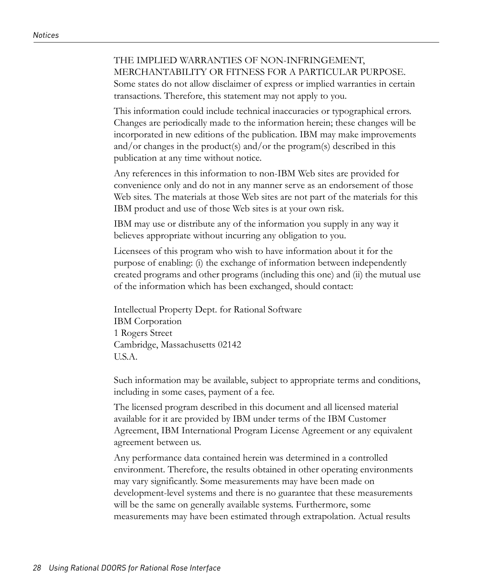#### THE IMPLIED WARRANTIES OF NON-INFRINGEMENT, MERCHANTABILITY OR FITNESS FOR A PARTICULAR PURPOSE.

Some states do not allow disclaimer of express or implied warranties in certain transactions. Therefore, this statement may not apply to you.

This information could include technical inaccuracies or typographical errors. Changes are periodically made to the information herein; these changes will be incorporated in new editions of the publication. IBM may make improvements and/or changes in the product(s) and/or the program(s) described in this publication at any time without notice.

Any references in this information to non-IBM Web sites are provided for convenience only and do not in any manner serve as an endorsement of those Web sites. The materials at those Web sites are not part of the materials for this IBM product and use of those Web sites is at your own risk.

IBM may use or distribute any of the information you supply in any way it believes appropriate without incurring any obligation to you.

Licensees of this program who wish to have information about it for the purpose of enabling: (i) the exchange of information between independently created programs and other programs (including this one) and (ii) the mutual use of the information which has been exchanged, should contact:

Intellectual Property Dept. for Rational Software IBM Corporation 1 Rogers Street Cambridge, Massachusetts 02142 U.S.A.

Such information may be available, subject to appropriate terms and conditions, including in some cases, payment of a fee.

The licensed program described in this document and all licensed material available for it are provided by IBM under terms of the IBM Customer Agreement, IBM International Program License Agreement or any equivalent agreement between us.

Any performance data contained herein was determined in a controlled environment. Therefore, the results obtained in other operating environments may vary significantly. Some measurements may have been made on development-level systems and there is no guarantee that these measurements will be the same on generally available systems. Furthermore, some measurements may have been estimated through extrapolation. Actual results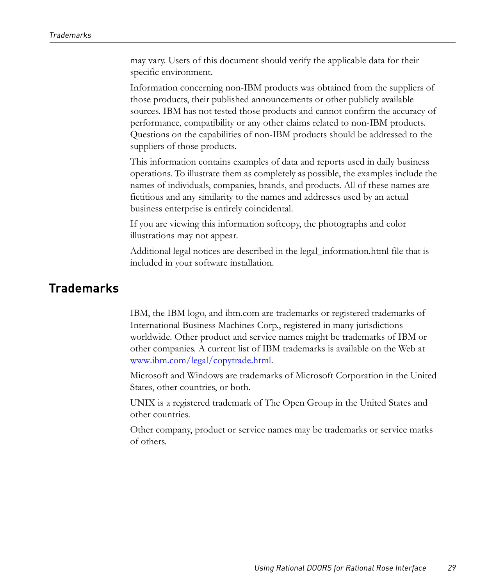may vary. Users of this document should verify the applicable data for their specific environment.

Information concerning non-IBM products was obtained from the suppliers of those products, their published announcements or other publicly available sources. IBM has not tested those products and cannot confirm the accuracy of performance, compatibility or any other claims related to non-IBM products. Questions on the capabilities of non-IBM products should be addressed to the suppliers of those products.

This information contains examples of data and reports used in daily business operations. To illustrate them as completely as possible, the examples include the names of individuals, companies, brands, and products. All of these names are fictitious and any similarity to the names and addresses used by an actual business enterprise is entirely coincidental.

If you are viewing this information softcopy, the photographs and color illustrations may not appear.

Additional legal notices are described in the legal\_information.html file that is included in your software installation.

#### <span id="page-34-0"></span>**Trademarks**

IBM, the IBM logo, and ibm.com are trademarks or registered trademarks of International Business Machines Corp., registered in many jurisdictions worldwide. Other product and service names might be trademarks of IBM or other companies. A current list of IBM trademarks is available on the Web at www.ibm.com/legal/copytrade.html.

Microsoft and Windows are trademarks of Microsoft Corporation in the United States, other countries, or both.

UNIX is a registered trademark of The Open Group in the United States and other countries.

Other company, product or service names may be trademarks or service marks of others.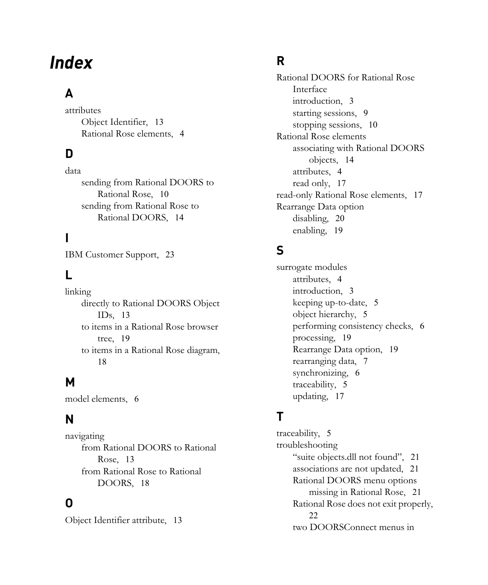# *Index*

# **A**

attributes Object Identifier, [13](#page-18-2) Rational Rose elements, [4](#page-9-0)

# **D**

data sending from Rational DOORS to Rational Rose, [10](#page-15-2) sending from Rational Rose to Rational DOORS, [14](#page-19-1)

# **I**

IBM Customer Support, [23](#page-28-3)

#### **L**

linking directly to Rational DOORS Object IDs, [13](#page-18-3) to items in a Rational Rose browser tree, [19](#page-24-3) to items in a Rational Rose diagram, [18](#page-23-2)

#### **M**

model elements, [6](#page-11-1)

#### **N**

navigating from Rational DOORS to Rational Rose, [13](#page-18-4) from Rational Rose to Rational DOORS, [18](#page-23-3)

#### **O**

Object Identifier attribute, [13](#page-18-2)

#### **R**

Rational DOORS for Rational Rose Interface introduction, [3](#page-8-3) starting sessions, [9](#page-14-2) stopping sessions, [10](#page-15-3) Rational Rose elements associating with Rational DOORS objects, [14](#page-19-2) attributes, [4](#page-9-0) read only, [17](#page-22-3) read-only Rational Rose elements, [17](#page-22-3) Rearrange Data option disabling, [20](#page-25-1) enabling, [19](#page-24-4)

#### **S**

surrogate modules attributes, [4](#page-9-0) introduction, [3](#page-8-4) keeping up-to-date, [5](#page-10-2) object hierarchy, [5](#page-10-3) performing consistency checks, [6](#page-11-2) processing, [19](#page-24-5) Rearrange Data option, [19](#page-24-4) rearranging data, [7](#page-12-1) synchronizing, [6](#page-11-2) traceability, [5](#page-10-4) updating, [17](#page-22-2)

# **T**

traceability, [5](#page-10-4) troubleshooting "suite objects.dll not found", [21](#page-26-4) associations are not updated, [21](#page-26-5) Rational DOORS menu options missing in Rational Rose, [21](#page-26-6) Rational Rose does not exit properly, [22](#page-27-2) two DOORSConnect menus in